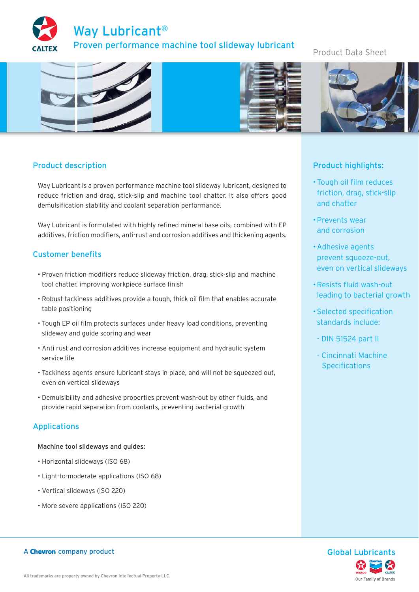

# Product Data Sheet



# Product description

Way Lubricant is a proven performance machine tool slideway lubricant, designed to reduce friction and drag, stick-slip and machine tool chatter. It also offers good demulsification stability and coolant separation performance.

Way Lubricant is formulated with highly refined mineral base oils, combined with EP additives, friction modifiers, anti-rust and corrosion additives and thickening agents.

# Customer benefits

- Proven friction modifiers reduce slideway friction, drag, stick-slip and machine tool chatter, improving workpiece surface finish
- Robust tackiness additives provide a tough, thick oil film that enables accurate table positioning
- Tough EP oil film protects surfaces under heavy load conditions, preventing slideway and guide scoring and wear
- Anti rust and corrosion additives increase equipment and hydraulic system service life
- Tackiness agents ensure lubricant stays in place, and will not be squeezed out, even on vertical slideways
- Demulsibility and adhesive properties prevent wash-out by other fluids, and provide rapid separation from coolants, preventing bacterial growth

## Applications

Machine tool slideways and guides:

- Horizontal slideways (ISO 68)
- Light-to-moderate applications (ISO 68)
- Vertical slideways (ISO 220)
- More severe applications (ISO 220)

# Product highlights:

- Tough oil film reduces friction, drag, stick-slip and chatter
- Prevents wear and corrosion
- Adhesive agents prevent squeeze-out, even on vertical slideways
- Resists fluid wash-out leading to bacterial growth
- Selected specification standards include:
	- DIN 51524 part II
	- Cincinnati Machine **Specifications**



## A Chevron company product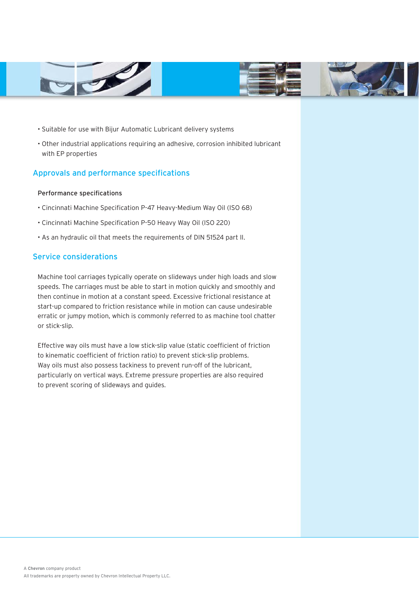



- Suitable for use with Bijur Automatic Lubricant delivery systems
- Other industrial applications requiring an adhesive, corrosion inhibited lubricant with EP properties

#### Approvals and performance specifications

#### Performance specifications

- Cincinnati Machine Specification P-47 Heavy-Medium Way Oil (ISO 68)
- Cincinnati Machine Specification P-50 Heavy Way Oil (ISO 220)
- As an hydraulic oil that meets the requirements of DIN 51524 part II.

## Service considerations

Machine tool carriages typically operate on slideways under high loads and slow speeds. The carriages must be able to start in motion quickly and smoothly and then continue in motion at a constant speed. Excessive frictional resistance at start-up compared to friction resistance while in motion can cause undesirable erratic or jumpy motion, which is commonly referred to as machine tool chatter or stick-slip.

Effective way oils must have a low stick-slip value (static coefficient of friction to kinematic coefficient of friction ratio) to prevent stick-slip problems. Way oils must also possess tackiness to prevent run-off of the lubricant, particularly on vertical ways. Extreme pressure properties are also required to prevent scoring of slideways and guides.